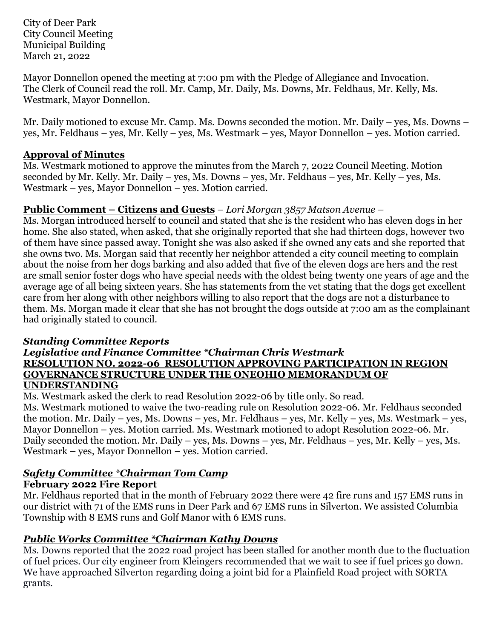City of Deer Park City Council Meeting Municipal Building March 21, 2022

Mayor Donnellon opened the meeting at 7:00 pm with the Pledge of Allegiance and Invocation. The Clerk of Council read the roll. Mr. Camp, Mr. Daily, Ms. Downs, Mr. Feldhaus, Mr. Kelly, Ms. Westmark, Mayor Donnellon.

Mr. Daily motioned to excuse Mr. Camp. Ms. Downs seconded the motion. Mr. Daily – yes, Ms. Downs – yes, Mr. Feldhaus – yes, Mr. Kelly – yes, Ms. Westmark – yes, Mayor Donnellon – yes. Motion carried.

#### **Approval of Minutes**

Ms. Westmark motioned to approve the minutes from the March 7, 2022 Council Meeting. Motion seconded by Mr. Kelly. Mr. Daily – yes, Ms. Downs – yes, Mr. Feldhaus – yes, Mr. Kelly – yes, Ms. Westmark – yes, Mayor Donnellon – yes. Motion carried.

#### **Public Comment – Citizens and Guests** – *Lori Morgan 3857 Matson Avenue –*

Ms. Morgan introduced herself to council and stated that she is the resident who has eleven dogs in her home. She also stated, when asked, that she originally reported that she had thirteen dogs, however two of them have since passed away. Tonight she was also asked if she owned any cats and she reported that she owns two. Ms. Morgan said that recently her neighbor attended a city council meeting to complain about the noise from her dogs barking and also added that five of the eleven dogs are hers and the rest are small senior foster dogs who have special needs with the oldest being twenty one years of age and the average age of all being sixteen years. She has statements from the vet stating that the dogs get excellent care from her along with other neighbors willing to also report that the dogs are not a disturbance to them. Ms. Morgan made it clear that she has not brought the dogs outside at 7:00 am as the complainant had originally stated to council.

#### *Standing Committee Reports*

#### *Legislative and Finance Committee \*Chairman Chris Westmark* **RESOLUTION NO. 2022-06 RESOLUTION APPROVING PARTICIPATION IN REGION GOVERNANCE STRUCTURE UNDER THE ONEOHIO MEMORANDUM OF UNDERSTANDING**

Ms. Westmark asked the clerk to read Resolution 2022-06 by title only. So read. Ms. Westmark motioned to waive the two-reading rule on Resolution 2022-06. Mr. Feldhaus seconded the motion. Mr. Daily – yes, Ms. Downs – yes, Mr. Feldhaus – yes, Mr. Kelly – yes, Ms. Westmark – yes, Mayor Donnellon – yes. Motion carried. Ms. Westmark motioned to adopt Resolution 2022-06. Mr. Daily seconded the motion. Mr. Daily – yes, Ms. Downs – yes, Mr. Feldhaus – yes, Mr. Kelly – yes, Ms. Westmark – yes, Mayor Donnellon – yes. Motion carried.

#### *Safety Committee \*Chairman Tom Camp*  **February 2022 Fire Report**

Mr. Feldhaus reported that in the month of February 2022 there were 42 fire runs and 157 EMS runs in our district with 71 of the EMS runs in Deer Park and 67 EMS runs in Silverton. We assisted Columbia Township with 8 EMS runs and Golf Manor with 6 EMS runs.

# *Public Works Committee \*Chairman Kathy Downs*

Ms. Downs reported that the 2022 road project has been stalled for another month due to the fluctuation of fuel prices. Our city engineer from Kleingers recommended that we wait to see if fuel prices go down. We have approached Silverton regarding doing a joint bid for a Plainfield Road project with SORTA grants.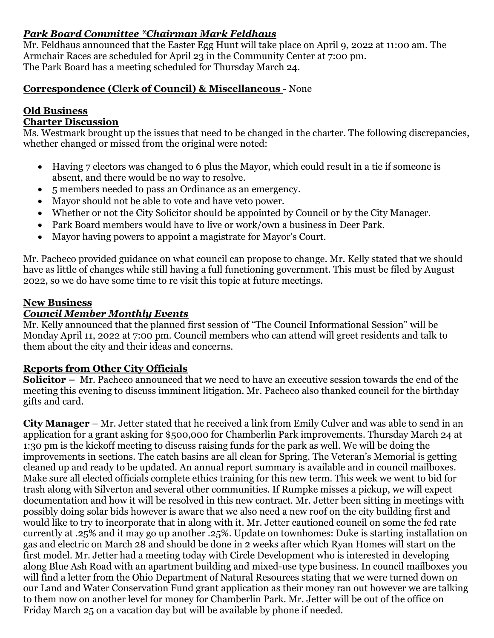# *Park Board Committee \*Chairman Mark Feldhaus*

Mr. Feldhaus announced that the Easter Egg Hunt will take place on April 9, 2022 at 11:00 am. The Armchair Races are scheduled for April 23 in the Community Center at 7:00 pm. The Park Board has a meeting scheduled for Thursday March 24.

# **Correspondence (Clerk of Council) & Miscellaneous** - None

# **Old Business**

# **Charter Discussion**

Ms. Westmark brought up the issues that need to be changed in the charter. The following discrepancies, whether changed or missed from the original were noted:

- Having 7 electors was changed to 6 plus the Mayor, which could result in a tie if someone is absent, and there would be no way to resolve.
- 5 members needed to pass an Ordinance as an emergency.
- Mayor should not be able to vote and have veto power.
- Whether or not the City Solicitor should be appointed by Council or by the City Manager.
- Park Board members would have to live or work/own a business in Deer Park.
- Mayor having powers to appoint a magistrate for Mayor's Court.

Mr. Pacheco provided guidance on what council can propose to change. Mr. Kelly stated that we should have as little of changes while still having a full functioning government. This must be filed by August 2022, so we do have some time to re visit this topic at future meetings.

#### **New Business**

# *Council Member Monthly Events*

Mr. Kelly announced that the planned first session of "The Council Informational Session" will be Monday April 11, 2022 at 7:00 pm. Council members who can attend will greet residents and talk to them about the city and their ideas and concerns.

# **Reports from Other City Officials**

**Solicitor –** Mr. Pacheco announced that we need to have an executive session towards the end of the meeting this evening to discuss imminent litigation. Mr. Pacheco also thanked council for the birthday gifts and card.

**City Manager** – Mr. Jetter stated that he received a link from Emily Culver and was able to send in an application for a grant asking for \$500,000 for Chamberlin Park improvements. Thursday March 24 at 1:30 pm is the kickoff meeting to discuss raising funds for the park as well. We will be doing the improvements in sections. The catch basins are all clean for Spring. The Veteran's Memorial is getting cleaned up and ready to be updated. An annual report summary is available and in council mailboxes. Make sure all elected officials complete ethics training for this new term. This week we went to bid for trash along with Silverton and several other communities. If Rumpke misses a pickup, we will expect documentation and how it will be resolved in this new contract. Mr. Jetter been sitting in meetings with possibly doing solar bids however is aware that we also need a new roof on the city building first and would like to try to incorporate that in along with it. Mr. Jetter cautioned council on some the fed rate currently at .25% and it may go up another .25%. Update on townhomes: Duke is starting installation on gas and electric on March 28 and should be done in 2 weeks after which Ryan Homes will start on the first model. Mr. Jetter had a meeting today with Circle Development who is interested in developing along Blue Ash Road with an apartment building and mixed-use type business. In council mailboxes you will find a letter from the Ohio Department of Natural Resources stating that we were turned down on our Land and Water Conservation Fund grant application as their money ran out however we are talking to them now on another level for money for Chamberlin Park. Mr. Jetter will be out of the office on Friday March 25 on a vacation day but will be available by phone if needed.